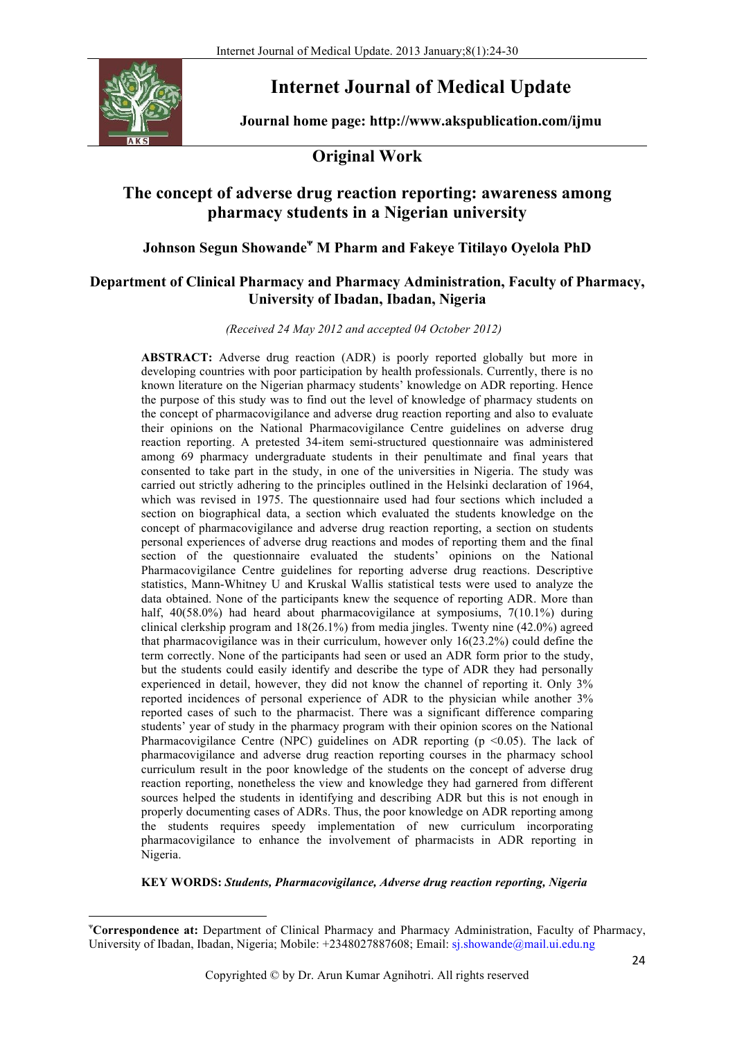

# **Internet Journal of Medical Update**

**Journal home page: http://www.akspublication.com/ijmu**

## **Original Work**

## **The concept of adverse drug reaction reporting: awareness among pharmacy students in a Nigerian university**

## **Johnson Segun Showande<sup>ᴪ</sup> M Pharm and Fakeye Titilayo Oyelola PhD**

### **Department of Clinical Pharmacy and Pharmacy Administration, Faculty of Pharmacy, University of Ibadan, Ibadan, Nigeria**

*(Received 24 May 2012 and accepted 04 October 2012)* 

**ABSTRACT:** Adverse drug reaction (ADR) is poorly reported globally but more in developing countries with poor participation by health professionals. Currently, there is no known literature on the Nigerian pharmacy students' knowledge on ADR reporting. Hence the purpose of this study was to find out the level of knowledge of pharmacy students on the concept of pharmacovigilance and adverse drug reaction reporting and also to evaluate their opinions on the National Pharmacovigilance Centre guidelines on adverse drug reaction reporting. A pretested 34-item semi-structured questionnaire was administered among 69 pharmacy undergraduate students in their penultimate and final years that consented to take part in the study, in one of the universities in Nigeria. The study was carried out strictly adhering to the principles outlined in the Helsinki declaration of 1964, which was revised in 1975. The questionnaire used had four sections which included a section on biographical data, a section which evaluated the students knowledge on the concept of pharmacovigilance and adverse drug reaction reporting, a section on students personal experiences of adverse drug reactions and modes of reporting them and the final section of the questionnaire evaluated the students' opinions on the National Pharmacovigilance Centre guidelines for reporting adverse drug reactions. Descriptive statistics, Mann-Whitney U and Kruskal Wallis statistical tests were used to analyze the data obtained. None of the participants knew the sequence of reporting ADR. More than half, 40(58.0%) had heard about pharmacovigilance at symposiums, 7(10.1%) during clinical clerkship program and  $18(26.1\%)$  from media jingles. Twenty nine  $(42.0\%)$  agreed that pharmacovigilance was in their curriculum, however only 16(23.2%) could define the term correctly. None of the participants had seen or used an ADR form prior to the study, but the students could easily identify and describe the type of ADR they had personally experienced in detail, however, they did not know the channel of reporting it. Only 3% reported incidences of personal experience of ADR to the physician while another 3% reported cases of such to the pharmacist. There was a significant difference comparing students' year of study in the pharmacy program with their opinion scores on the National Pharmacovigilance Centre (NPC) guidelines on ADR reporting ( $p \le 0.05$ ). The lack of pharmacovigilance and adverse drug reaction reporting courses in the pharmacy school curriculum result in the poor knowledge of the students on the concept of adverse drug reaction reporting, nonetheless the view and knowledge they had garnered from different sources helped the students in identifying and describing ADR but this is not enough in properly documenting cases of ADRs. Thus, the poor knowledge on ADR reporting among the students requires speedy implementation of new curriculum incorporating pharmacovigilance to enhance the involvement of pharmacists in ADR reporting in Nigeria.

#### **KEY WORDS:** *Students, Pharmacovigilance, Adverse drug reaction reporting, Nigeria*

<u> 1989 - Jan Samuel Barbara, político establecido de la provincia de la provincia de la provincia de la provinci</u>

ᴪ **Correspondence at:** Department of Clinical Pharmacy and Pharmacy Administration, Faculty of Pharmacy, University of Ibadan, Ibadan, Nigeria; Mobile: +2348027887608; Email: sj.showande@mail.ui.edu.ng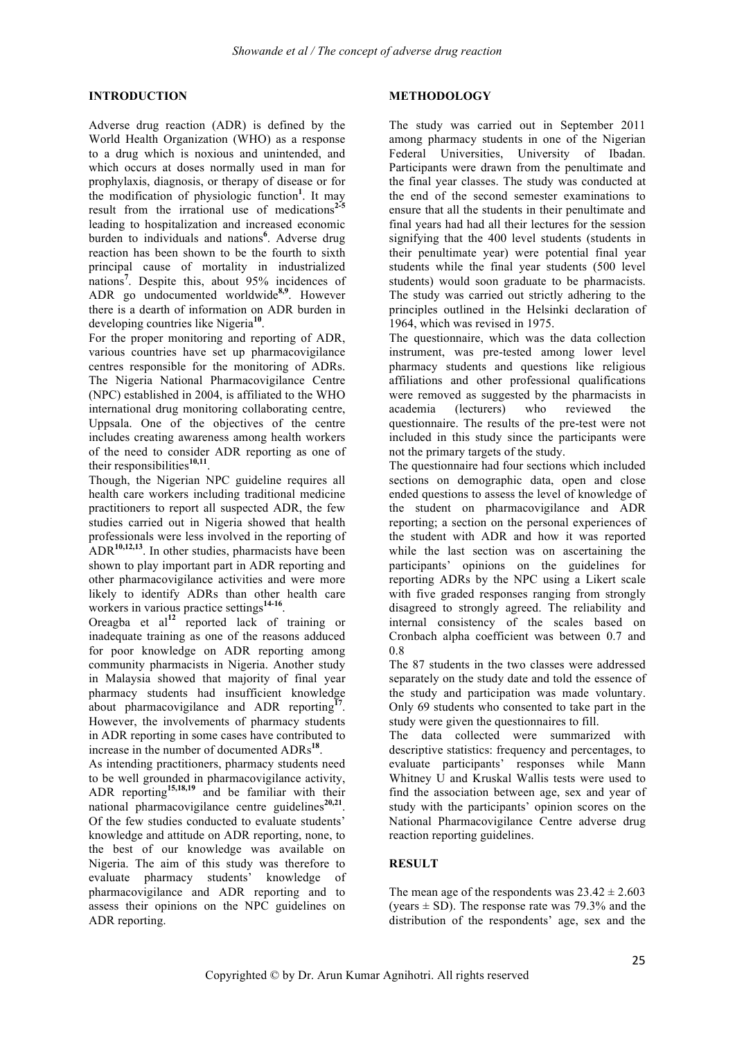#### **INTRODUCTION**

Adverse drug reaction (ADR) is defined by the World Health Organization (WHO) as a response to a drug which is noxious and unintended, and which occurs at doses normally used in man for prophylaxis, diagnosis, or therapy of disease or for the modification of physiologic function**<sup>1</sup>** . It may result from the irrational use of medications<sup>2-1</sup> leading to hospitalization and increased economic burden to individuals and nations**<sup>6</sup>** . Adverse drug reaction has been shown to be the fourth to sixth principal cause of mortality in industrialized nations**<sup>7</sup>** . Despite this, about 95% incidences of ADR go undocumented worldwide**8,9**. However there is a dearth of information on ADR burden in developing countries like Nigeria**<sup>10</sup>**.

For the proper monitoring and reporting of ADR, various countries have set up pharmacovigilance centres responsible for the monitoring of ADRs. The Nigeria National Pharmacovigilance Centre (NPC) established in 2004, is affiliated to the WHO international drug monitoring collaborating centre, Uppsala. One of the objectives of the centre includes creating awareness among health workers of the need to consider ADR reporting as one of their responsibilities**10,11**.

Though, the Nigerian NPC guideline requires all health care workers including traditional medicine practitioners to report all suspected ADR, the few studies carried out in Nigeria showed that health professionals were less involved in the reporting of ADR**10,12,13**. In other studies, pharmacists have been shown to play important part in ADR reporting and other pharmacovigilance activities and were more likely to identify ADRs than other health care workers in various practice settings**14-16**.

Oreagba et al**<sup>12</sup>** reported lack of training or inadequate training as one of the reasons adduced for poor knowledge on ADR reporting among community pharmacists in Nigeria. Another study in Malaysia showed that majority of final year pharmacy students had insufficient knowledge about pharmacovigilance and ADR reporting<sup>1</sup> However, the involvements of pharmacy students in ADR reporting in some cases have contributed to increase in the number of documented ADRs**<sup>18</sup>**.

As intending practitioners, pharmacy students need to be well grounded in pharmacovigilance activity, ADR reporting**15,18,19** and be familiar with their national pharmacovigilance centre guidelines<sup>20,21</sup>. Of the few studies conducted to evaluate students' knowledge and attitude on ADR reporting, none, to the best of our knowledge was available on Nigeria. The aim of this study was therefore to evaluate pharmacy students' knowledge of pharmacovigilance and ADR reporting and to assess their opinions on the NPC guidelines on ADR reporting.

#### **METHODOLOGY**

The study was carried out in September 2011 among pharmacy students in one of the Nigerian Federal Universities, University of Ibadan. Participants were drawn from the penultimate and the final year classes. The study was conducted at the end of the second semester examinations to ensure that all the students in their penultimate and final years had had all their lectures for the session signifying that the 400 level students (students in their penultimate year) were potential final year students while the final year students (500 level students) would soon graduate to be pharmacists. The study was carried out strictly adhering to the principles outlined in the Helsinki declaration of 1964, which was revised in 1975.

The questionnaire, which was the data collection instrument, was pre-tested among lower level pharmacy students and questions like religious affiliations and other professional qualifications were removed as suggested by the pharmacists in academia (lecturers) who reviewed the questionnaire. The results of the pre-test were not included in this study since the participants were not the primary targets of the study.

The questionnaire had four sections which included sections on demographic data, open and close ended questions to assess the level of knowledge of the student on pharmacovigilance and ADR reporting; a section on the personal experiences of the student with ADR and how it was reported while the last section was on ascertaining the participants' opinions on the guidelines for reporting ADRs by the NPC using a Likert scale with five graded responses ranging from strongly disagreed to strongly agreed. The reliability and internal consistency of the scales based on Cronbach alpha coefficient was between 0.7 and 0.8

The 87 students in the two classes were addressed separately on the study date and told the essence of the study and participation was made voluntary. Only 69 students who consented to take part in the study were given the questionnaires to fill.

The data collected were summarized with descriptive statistics: frequency and percentages, to evaluate participants' responses while Mann Whitney U and Kruskal Wallis tests were used to find the association between age, sex and year of study with the participants' opinion scores on the National Pharmacovigilance Centre adverse drug reaction reporting guidelines.

#### **RESULT**

The mean age of the respondents was  $23.42 \pm 2.603$ (years  $\pm$  SD). The response rate was 79.3% and the distribution of the respondents' age, sex and the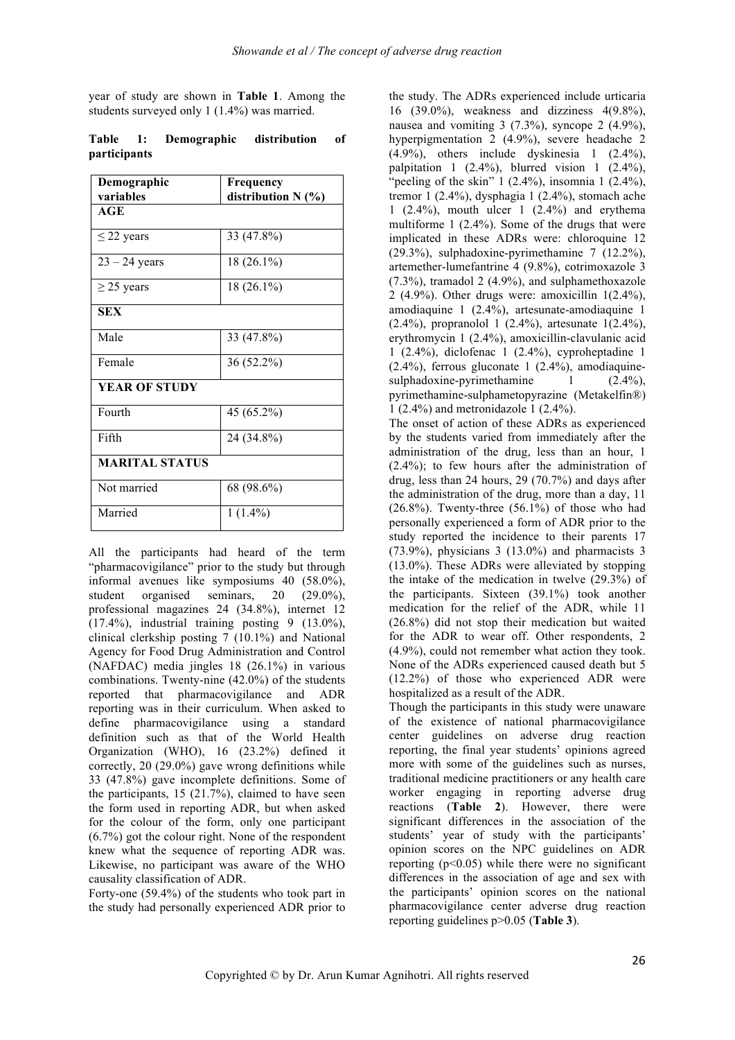year of study are shown in **Table 1**. Among the students surveyed only 1 (1.4%) was married.

|              | Table 1: Demographic distribution of |  |
|--------------|--------------------------------------|--|
| participants |                                      |  |

| Demographic           | Frequency          |
|-----------------------|--------------------|
| variables             | distribution N (%) |
| AGE                   |                    |
| $\leq$ 22 years       | 33 (47.8%)         |
| $23 - 24$ years       | 18 (26.1%)         |
| $\geq$ 25 years       | $18(26.1\%)$       |
| <b>SEX</b>            |                    |
| Male                  | 33 (47.8%)         |
| Female                | 36 (52.2%)         |
| <b>YEAR OF STUDY</b>  |                    |
| Fourth                | 45 (65.2%)         |
| Fifth                 | 24 (34.8%)         |
| <b>MARITAL STATUS</b> |                    |
| Not married           | 68 (98.6%)         |
| Married               | $1(1.4\%)$         |

All the participants had heard of the term "pharmacovigilance" prior to the study but through informal avenues like symposiums 40 (58.0%), student organised seminars, 20 (29.0%), professional magazines 24 (34.8%), internet 12 (17.4%), industrial training posting 9 (13.0%), clinical clerkship posting 7 (10.1%) and National Agency for Food Drug Administration and Control (NAFDAC) media jingles 18 (26.1%) in various combinations. Twenty-nine (42.0%) of the students reported that pharmacovigilance and ADR reporting was in their curriculum. When asked to define pharmacovigilance using a standard definition such as that of the World Health Organization (WHO), 16 (23.2%) defined it correctly, 20 (29.0%) gave wrong definitions while 33 (47.8%) gave incomplete definitions. Some of the participants, 15 (21.7%), claimed to have seen the form used in reporting ADR, but when asked for the colour of the form, only one participant (6.7%) got the colour right. None of the respondent knew what the sequence of reporting ADR was. Likewise, no participant was aware of the WHO causality classification of ADR.

Forty-one (59.4%) of the students who took part in the study had personally experienced ADR prior to

the study. The ADRs experienced include urticaria 16 (39.0%), weakness and dizziness 4(9.8%), nausea and vomiting 3 (7.3%), syncope 2 (4.9%), hyperpigmentation 2 (4.9%), severe headache 2 (4.9%), others include dyskinesia 1 (2.4%), palpitation 1 (2.4%), blurred vision 1 (2.4%), "peeling of the skin"  $1$  (2.4%), insomnia  $1$  (2.4%), tremor 1 (2.4%), dysphagia 1 (2.4%), stomach ache 1 (2.4%), mouth ulcer 1 (2.4%) and erythema multiforme 1 (2.4%). Some of the drugs that were implicated in these ADRs were: chloroquine 12 (29.3%), sulphadoxine-pyrimethamine 7 (12.2%), artemether-lumefantrine 4 (9.8%), cotrimoxazole 3 (7.3%), tramadol 2 (4.9%), and sulphamethoxazole 2 (4.9%). Other drugs were: amoxicillin  $1(2.4\%)$ . amodiaquine 1 (2.4%), artesunate-amodiaquine 1 (2.4%), propranolol 1 (2.4%), artesunate 1(2.4%), erythromycin 1 (2.4%), amoxicillin-clavulanic acid 1 (2.4%), diclofenac 1 (2.4%), cyproheptadine 1 (2.4%), ferrous gluconate 1 (2.4%), amodiaquinesulphadoxine-pyrimethamine 1 (2.4%), pyrimethamine-sulphametopyrazine (Metakelfin®) 1 (2.4%) and metronidazole 1 (2.4%).

The onset of action of these ADRs as experienced by the students varied from immediately after the administration of the drug, less than an hour, 1 (2.4%); to few hours after the administration of drug, less than 24 hours, 29 (70.7%) and days after the administration of the drug, more than a day, 11  $(26.8\%)$ . Twenty-three  $(56.1\%)$  of those who had personally experienced a form of ADR prior to the study reported the incidence to their parents 17  $(73.9\%)$ , physicians 3  $(13.0\%)$  and pharmacists 3 (13.0%). These ADRs were alleviated by stopping the intake of the medication in twelve (29.3%) of the participants. Sixteen (39.1%) took another medication for the relief of the ADR, while 11 (26.8%) did not stop their medication but waited for the ADR to wear off. Other respondents, 2 (4.9%), could not remember what action they took. None of the ADRs experienced caused death but 5 (12.2%) of those who experienced ADR were hospitalized as a result of the ADR.

Though the participants in this study were unaware of the existence of national pharmacovigilance center guidelines on adverse drug reaction reporting, the final year students' opinions agreed more with some of the guidelines such as nurses, traditional medicine practitioners or any health care worker engaging in reporting adverse drug reactions (**Table 2**). However, there were significant differences in the association of the students' year of study with the participants' opinion scores on the NPC guidelines on ADR reporting  $(p<0.05)$  while there were no significant differences in the association of age and sex with the participants' opinion scores on the national pharmacovigilance center adverse drug reaction reporting guidelines p>0.05 (**Table 3**).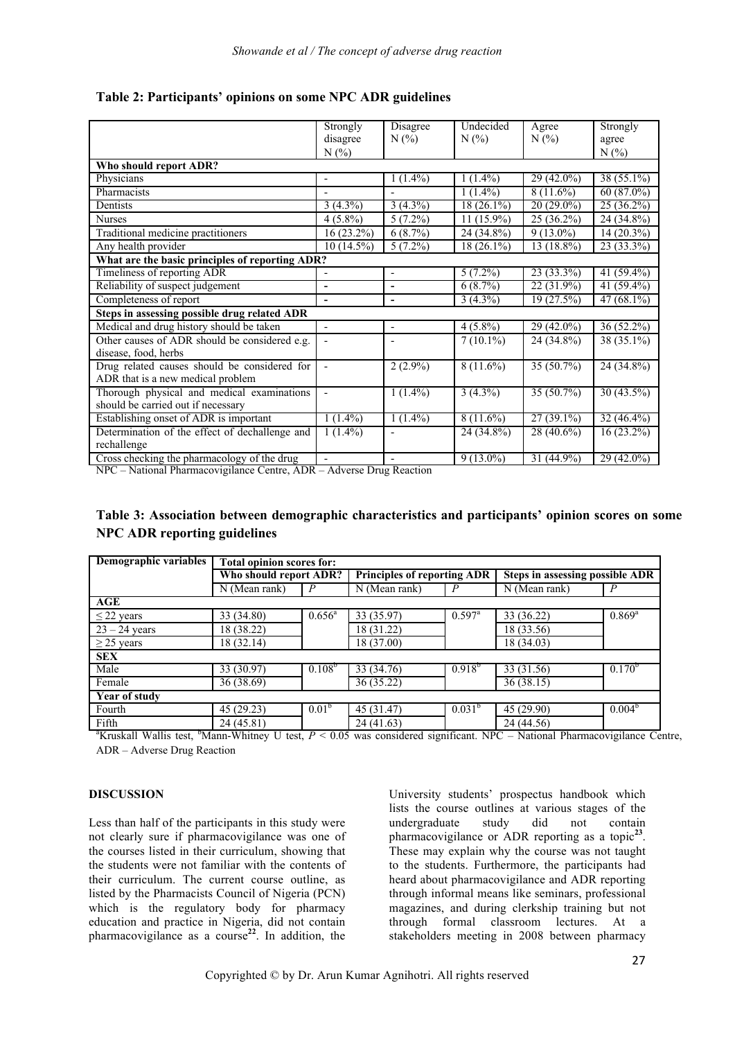|                                                 | Strongly                     | <b>Disagree</b>          | Undecided    | Agree        | Strongly     |  |  |  |
|-------------------------------------------------|------------------------------|--------------------------|--------------|--------------|--------------|--|--|--|
|                                                 | disagree                     | $N(\%)$                  | N(%          | $N(\%)$      | agree        |  |  |  |
|                                                 | N(%                          |                          |              |              | $N(\%)$      |  |  |  |
| Who should report ADR?                          |                              |                          |              |              |              |  |  |  |
| Physicians                                      | -                            | $1(1.4\%)$               | $1(1.4\%)$   | $29(42.0\%)$ | $38(55.1\%)$ |  |  |  |
| Pharmacists                                     |                              |                          | $1(1.4\%)$   | $8(11.6\%)$  | $60(87.0\%)$ |  |  |  |
| Dentists                                        | $3(4.3\%)$                   | $3(4.3\%)$               | $18(26.1\%)$ | $20(29.0\%)$ | 25(36.2%)    |  |  |  |
| <b>Nurses</b>                                   | $4(5.8\%)$                   | $5(7.2\%)$               | $11(15.9\%)$ | 25 (36.2%)   | 24 (34.8%)   |  |  |  |
| Traditional medicine practitioners              | 16 (23.2%)                   | $6(8.7\%)$               | 24 (34.8%)   | $9(13.0\%)$  | $14(20.3\%)$ |  |  |  |
| Any health provider                             | $10(14.5\%)$                 | $5(7.2\%)$               | $18(26.1\%)$ | 13 (18.8%)   | $23(33.3\%)$ |  |  |  |
| What are the basic principles of reporting ADR? |                              |                          |              |              |              |  |  |  |
| Timeliness of reporting ADR                     |                              | $\overline{\phantom{a}}$ | $5(7.2\%)$   | $23(33.3\%)$ | $41(59.4\%)$ |  |  |  |
| Reliability of suspect judgement                | $\blacksquare$               | $\blacksquare$           | $6(8.7\%)$   | 22 (31.9%)   | 41 (59.4%)   |  |  |  |
| Completeness of report                          | $\blacksquare$               | $\blacksquare$           | $3(4.3\%)$   | 19(27.5%)    | $47(68.1\%)$ |  |  |  |
| Steps in assessing possible drug related ADR    |                              |                          |              |              |              |  |  |  |
| Medical and drug history should be taken        | $\qquad \qquad \blacksquare$ | $\overline{\phantom{a}}$ | $4(5.8\%)$   | 29 (42.0%)   | $36(52.2\%)$ |  |  |  |
| Other causes of ADR should be considered e.g.   |                              |                          | $7(10.1\%)$  | 24 (34.8%)   | 38 (35.1%)   |  |  |  |
| disease, food, herbs                            |                              |                          |              |              |              |  |  |  |
| Drug related causes should be considered for    |                              | $2(2.9\%)$               | $8(11.6\%)$  | 35 (50.7%)   | 24 (34.8%)   |  |  |  |
| ADR that is a new medical problem               |                              |                          |              |              |              |  |  |  |
| Thorough physical and medical examinations      | $\overline{a}$               | $1(1.4\%)$               | $3(4.3\%)$   | $35(50.7\%)$ | $30(43.5\%)$ |  |  |  |
| should be carried out if necessary              |                              |                          |              |              |              |  |  |  |
| Establishing onset of ADR is important          | $1(1.4\%)$                   | $1(1.4\%)$               | $8(11.6\%)$  | $27(39.1\%)$ | $32(46.4\%)$ |  |  |  |
| Determination of the effect of dechallenge and  | $1(1.4\%)$                   |                          | 24 (34.8%)   | $28(40.6\%)$ | $16(23.2\%)$ |  |  |  |
| rechallenge                                     |                              |                          |              |              |              |  |  |  |
| Cross checking the pharmacology of the drug     | $\overline{a}$               |                          | $9(13.0\%)$  | $31(44.9\%)$ | $29(42.0\%)$ |  |  |  |

**Table 2: Participants' opinions on some NPC ADR guidelines**

NPC – National Pharmacovigilance Centre, ADR – Adverse Drug Reaction

## **Table 3: Association between demographic characteristics and participants' opinion scores on some NPC ADR reporting guidelines**

| Demographic variables                                                                                                                                  | <b>Total opinion scores for:</b> |                   |                                    |                 |                                        |                 |  |
|--------------------------------------------------------------------------------------------------------------------------------------------------------|----------------------------------|-------------------|------------------------------------|-----------------|----------------------------------------|-----------------|--|
|                                                                                                                                                        | Who should report ADR?           |                   | <b>Principles of reporting ADR</b> |                 | <b>Steps in assessing possible ADR</b> |                 |  |
|                                                                                                                                                        | $\overline{N}$ (Mean rank)       |                   | N (Mean rank)                      |                 | N (Mean rank)                          |                 |  |
| AGE                                                                                                                                                    |                                  |                   |                                    |                 |                                        |                 |  |
| $\leq$ 22 years                                                                                                                                        | 33 (34.80)                       | $0.656^{\rm a}$   | 33 (35.97)                         | $0.597^{\rm a}$ | 33 (36.22)                             | $0.869^{\rm a}$ |  |
| $23 - 24$ years                                                                                                                                        | 18 (38.22)                       |                   | 18 (31.22)                         |                 | 18 (33.56)                             |                 |  |
| $\geq$ 25 years                                                                                                                                        | 18 (32.14)                       |                   | 18 (37.00)                         |                 | 18 (34.03)                             |                 |  |
| <b>SEX</b>                                                                                                                                             |                                  |                   |                                    |                 |                                        |                 |  |
| Male                                                                                                                                                   | 33 (30.97)                       | $0.108^{p}$       | 33 (34.76)                         | $0.918^{b}$     | $\overline{33(31.56)}$                 | $0.170^{6}$     |  |
| Female                                                                                                                                                 | 36(38.69)                        |                   | 36(35.22)                          |                 | 36(38.15)                              |                 |  |
| Year of study                                                                                                                                          |                                  |                   |                                    |                 |                                        |                 |  |
| Fourth                                                                                                                                                 | 45(29.23)                        | 0.01 <sup>b</sup> | 45 (31.47)                         | $0.031^{b}$     | 45 (29.90)                             | $0.004^b$       |  |
| Fifth                                                                                                                                                  | 24(45.81)                        |                   | 24 (41.63)                         |                 | 24 (44.56)                             |                 |  |
| <sup>a</sup> Kruskall Wallis test, <sup>b</sup> Mann-Whitney U test, $P \le 0.05$ was considered significant. NPC – National Pharmacovigilance Centre, |                                  |                   |                                    |                 |                                        |                 |  |

ADR – Adverse Drug Reaction

#### **DISCUSSION**

Less than half of the participants in this study were not clearly sure if pharmacovigilance was one of the courses listed in their curriculum, showing that the students were not familiar with the contents of their curriculum. The current course outline, as listed by the Pharmacists Council of Nigeria (PCN) which is the regulatory body for pharmacy education and practice in Nigeria, did not contain pharmacovigilance as a course**<sup>22</sup>**. In addition, the University students' prospectus handbook which lists the course outlines at various stages of the undergraduate study did not contain pharmacovigilance or ADR reporting as a topic**<sup>23</sup>**. These may explain why the course was not taught to the students. Furthermore, the participants had heard about pharmacovigilance and ADR reporting through informal means like seminars, professional magazines, and during clerkship training but not through formal classroom lectures. At a stakeholders meeting in 2008 between pharmacy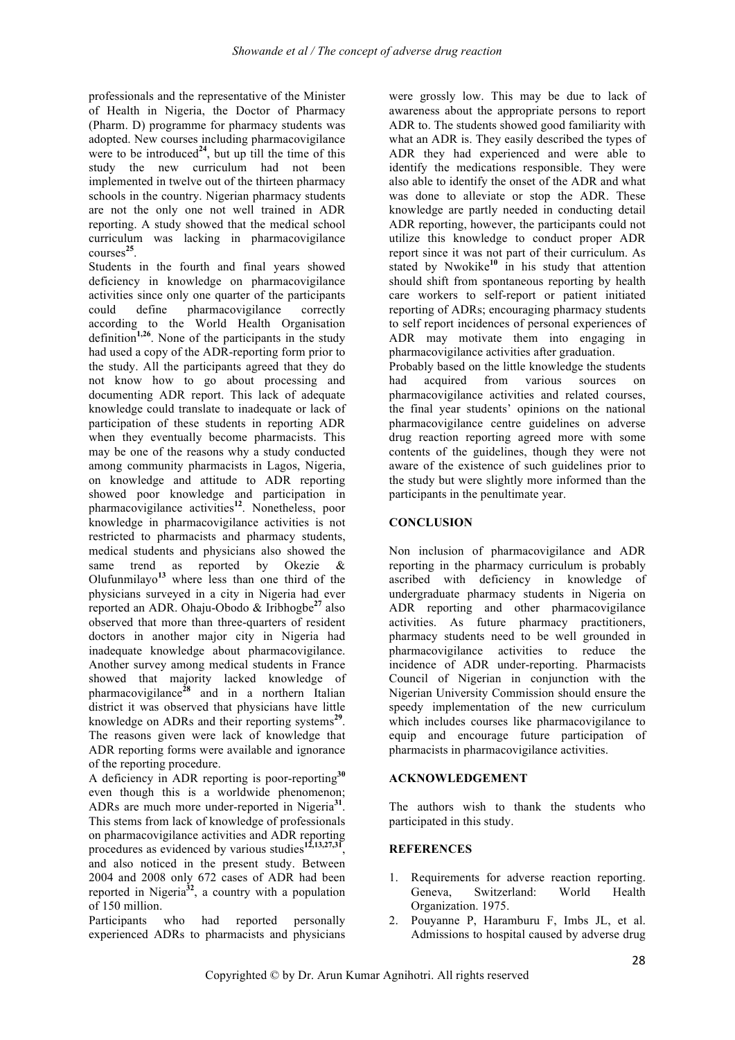professionals and the representative of the Minister of Health in Nigeria, the Doctor of Pharmacy (Pharm. D) programme for pharmacy students was adopted. New courses including pharmacovigilance were to be introduced<sup>24</sup>, but up till the time of this study the new curriculum had not been implemented in twelve out of the thirteen pharmacy schools in the country. Nigerian pharmacy students are not the only one not well trained in ADR reporting. A study showed that the medical school curriculum was lacking in pharmacovigilance courses**<sup>25</sup>**.

Students in the fourth and final years showed deficiency in knowledge on pharmacovigilance activities since only one quarter of the participants could define pharmacovigilance correctly according to the World Health Organisation definition**1,26**. None of the participants in the study had used a copy of the ADR-reporting form prior to the study. All the participants agreed that they do not know how to go about processing and documenting ADR report. This lack of adequate knowledge could translate to inadequate or lack of participation of these students in reporting ADR when they eventually become pharmacists. This may be one of the reasons why a study conducted among community pharmacists in Lagos, Nigeria, on knowledge and attitude to ADR reporting showed poor knowledge and participation in pharmacovigilance activities**<sup>12</sup>**. Nonetheless, poor knowledge in pharmacovigilance activities is not restricted to pharmacists and pharmacy students, medical students and physicians also showed the same trend as reported by Okezie & Olufunmilayo**<sup>13</sup>** where less than one third of the physicians surveyed in a city in Nigeria had ever reported an ADR. Ohaju-Obodo & Iribhogbe**<sup>27</sup>** also observed that more than three-quarters of resident doctors in another major city in Nigeria had inadequate knowledge about pharmacovigilance. Another survey among medical students in France showed that majority lacked knowledge of pharmacovigilance**<sup>28</sup>** and in a northern Italian district it was observed that physicians have little knowledge on ADRs and their reporting systems**<sup>29</sup>**. The reasons given were lack of knowledge that ADR reporting forms were available and ignorance of the reporting procedure.

A deficiency in ADR reporting is poor-reporting**<sup>30</sup>** even though this is a worldwide phenomenon; ADRs are much more under-reported in Nigeria**<sup>31</sup>**. This stems from lack of knowledge of professionals on pharmacovigilance activities and ADR reporting procedures as evidenced by various studies**12,13,27,31**, and also noticed in the present study. Between 2004 and 2008 only 672 cases of ADR had been reported in Nigeria<sup> $32$ </sup>, a country with a population of 150 million.

Participants who had reported personally experienced ADRs to pharmacists and physicians

were grossly low. This may be due to lack of awareness about the appropriate persons to report ADR to. The students showed good familiarity with what an ADR is. They easily described the types of ADR they had experienced and were able to identify the medications responsible. They were also able to identify the onset of the ADR and what was done to alleviate or stop the ADR. These knowledge are partly needed in conducting detail ADR reporting, however, the participants could not utilize this knowledge to conduct proper ADR report since it was not part of their curriculum. As stated by Nwokike<sup>10</sup> in his study that attention should shift from spontaneous reporting by health care workers to self-report or patient initiated reporting of ADRs; encouraging pharmacy students to self report incidences of personal experiences of ADR may motivate them into engaging in pharmacovigilance activities after graduation.

Probably based on the little knowledge the students had acquired from various sources on pharmacovigilance activities and related courses, the final year students' opinions on the national pharmacovigilance centre guidelines on adverse drug reaction reporting agreed more with some contents of the guidelines, though they were not aware of the existence of such guidelines prior to the study but were slightly more informed than the participants in the penultimate year.

#### **CONCLUSION**

Non inclusion of pharmacovigilance and ADR reporting in the pharmacy curriculum is probably ascribed with deficiency in knowledge of undergraduate pharmacy students in Nigeria on ADR reporting and other pharmacovigilance activities. As future pharmacy practitioners, pharmacy students need to be well grounded in pharmacovigilance activities to reduce the incidence of ADR under-reporting. Pharmacists Council of Nigerian in conjunction with the Nigerian University Commission should ensure the speedy implementation of the new curriculum which includes courses like pharmacovigilance to equip and encourage future participation of pharmacists in pharmacovigilance activities.

#### **ACKNOWLEDGEMENT**

The authors wish to thank the students who participated in this study.

#### **REFERENCES**

- 1. Requirements for adverse reaction reporting. Geneva, Switzerland: World Health Organization. 1975.
- 2. Pouyanne P, Haramburu F, Imbs JL, et al. Admissions to hospital caused by adverse drug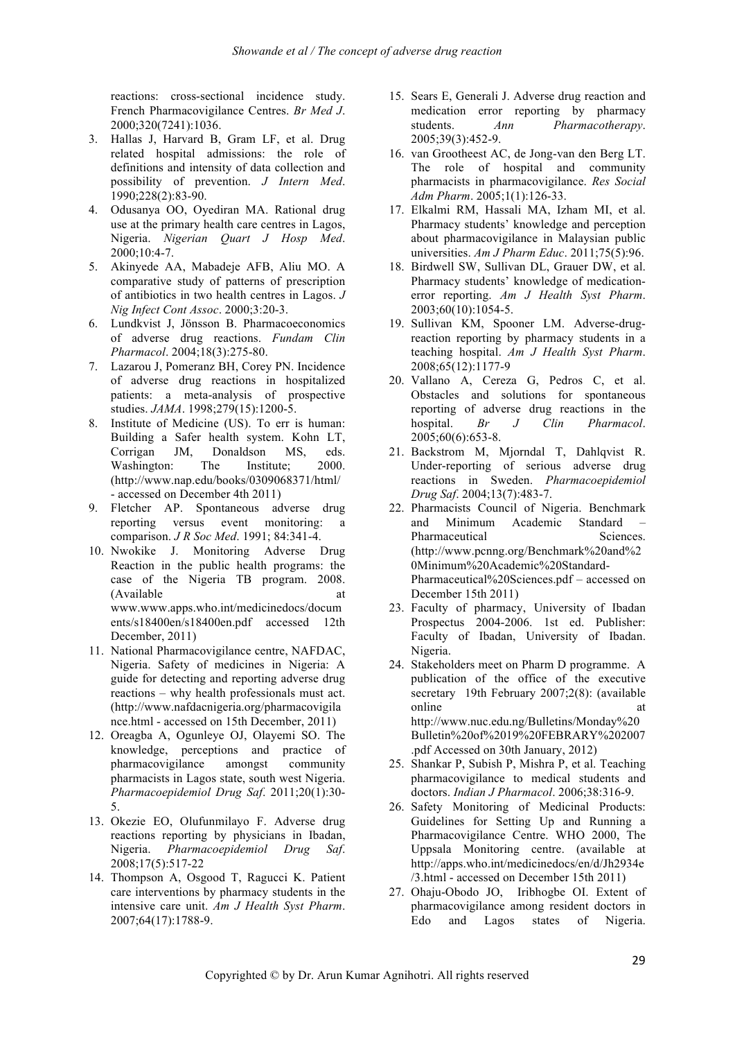reactions: cross-sectional incidence study. French Pharmacovigilance Centres. *Br Med J*. 2000;320(7241):1036.

- 3. Hallas J, Harvard B, Gram LF, et al. Drug related hospital admissions: the role of definitions and intensity of data collection and possibility of prevention. *J Intern Med*. 1990;228(2):83-90.
- 4. Odusanya OO, Oyediran MA. Rational drug use at the primary health care centres in Lagos, Nigeria. *Nigerian Quart J Hosp Med*. 2000;10:4-7.
- 5. Akinyede AA, Mabadeje AFB, Aliu MO. A comparative study of patterns of prescription of antibiotics in two health centres in Lagos. *J Nig Infect Cont Assoc*. 2000;3:20-3.
- 6. Lundkvist J, Jönsson B. Pharmacoeconomics of adverse drug reactions. *Fundam Clin Pharmacol*. 2004;18(3):275-80.
- 7. Lazarou J, Pomeranz BH, Corey PN. Incidence of adverse drug reactions in hospitalized patients: a meta-analysis of prospective studies. *JAMA*. 1998;279(15):1200-5.
- 8. Institute of Medicine (US). To err is human: Building a Safer health system. Kohn LT, Corrigan JM, Donaldson MS, eds. Washington: The Institute; 2000. (http://www.nap.edu/books/0309068371/html/ - accessed on December 4th 2011)
- 9. Fletcher AP. Spontaneous adverse drug reporting versus event monitoring: a comparison. *J R Soc Med*. 1991; 84:341-4.
- 10. Nwokike J. Monitoring Adverse Drug Reaction in the public health programs: the case of the Nigeria TB program. 2008. (Available at www.www.apps.who.int/medicinedocs/docum ents/s18400en/s18400en.pdf accessed 12th December, 2011)
- 11. National Pharmacovigilance centre, NAFDAC, Nigeria. Safety of medicines in Nigeria: A guide for detecting and reporting adverse drug reactions – why health professionals must act. (http://www.nafdacnigeria.org/pharmacovigila nce.html - accessed on 15th December, 2011)
- 12. Oreagba A, Ogunleye OJ, Olayemi SO. The knowledge, perceptions and practice of pharmacovigilance amongst community pharmacists in Lagos state, south west Nigeria. *Pharmacoepidemiol Drug Saf*. 2011;20(1):30- 5.
- 13. Okezie EO, Olufunmilayo F. Adverse drug reactions reporting by physicians in Ibadan, Nigeria. *Pharmacoepidemiol Drug Saf*. 2008;17(5):517-22
- 14. Thompson A, Osgood T, Ragucci K. Patient care interventions by pharmacy students in the intensive care unit. *Am J Health Syst Pharm*. 2007;64(17):1788-9.
- 15. Sears E, Generali J. Adverse drug reaction and medication error reporting by pharmacy students. *Ann Pharmacotherapy*. 2005;39(3):452-9.
- 16. van Grootheest AC, de Jong-van den Berg LT. The role of hospital and community pharmacists in pharmacovigilance. *Res Social Adm Pharm*. 2005;1(1):126-33.
- 17. Elkalmi RM, Hassali MA, Izham MI, et al. Pharmacy students' knowledge and perception about pharmacovigilance in Malaysian public universities. *Am J Pharm Educ*. 2011;75(5):96.
- 18. Birdwell SW, Sullivan DL, Grauer DW, et al. Pharmacy students' knowledge of medicationerror reporting. *Am J Health Syst Pharm*. 2003;60(10):1054-5.
- 19. Sullivan KM, Spooner LM. Adverse-drugreaction reporting by pharmacy students in a teaching hospital. *Am J Health Syst Pharm*. 2008;65(12):1177-9
- 20. Vallano A, Cereza G, Pedros C, et al. Obstacles and solutions for spontaneous reporting of adverse drug reactions in the hospital. *Br J Clin Pharmacol*. 2005;60(6):653-8.
- 21. Backstrom M, Mjorndal T, Dahlqvist R. Under-reporting of serious adverse drug reactions in Sweden. *Pharmacoepidemiol Drug Saf*. 2004;13(7):483-7.
- 22. Pharmacists Council of Nigeria. Benchmark and Minimum Academic Standard – Pharmaceutical Sciences. (http://www.pcnng.org/Benchmark%20and%2 0Minimum%20Academic%20Standard-Pharmaceutical%20Sciences.pdf – accessed on December 15th 2011)
- 23. Faculty of pharmacy, University of Ibadan Prospectus 2004-2006. 1st ed. Publisher: Faculty of Ibadan, University of Ibadan. Nigeria.
- 24. Stakeholders meet on Pharm D programme. A publication of the office of the executive secretary 19th February 2007;2(8): (available online at a state of  $\alpha$  at  $\alpha$ http://www.nuc.edu.ng/Bulletins/Monday%20 Bulletin%20of%2019%20FEBRARY%202007 .pdf Accessed on 30th January, 2012)
- 25. Shankar P, Subish P, Mishra P, et al. Teaching pharmacovigilance to medical students and doctors. *Indian J Pharmacol*. 2006;38:316-9.
- 26. Safety Monitoring of Medicinal Products: Guidelines for Setting Up and Running a Pharmacovigilance Centre. WHO 2000, The Uppsala Monitoring centre. (available at http://apps.who.int/medicinedocs/en/d/Jh2934e /3.html - accessed on December 15th 2011)
- 27. Ohaju-Obodo JO, Iribhogbe OI. Extent of pharmacovigilance among resident doctors in Edo and Lagos states of Nigeria.